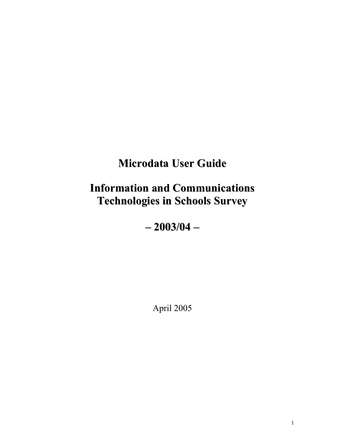# **Microdata User Guide**

# **Information and Communications Technologies in Schools Survey**

**– 2003/04 –**

April 2005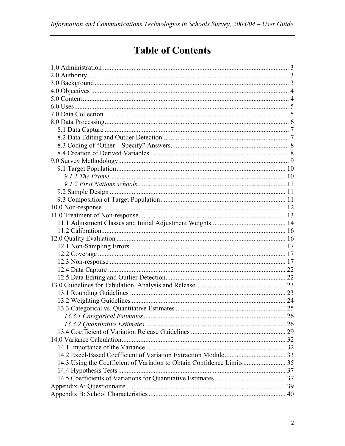# **Table of Contents**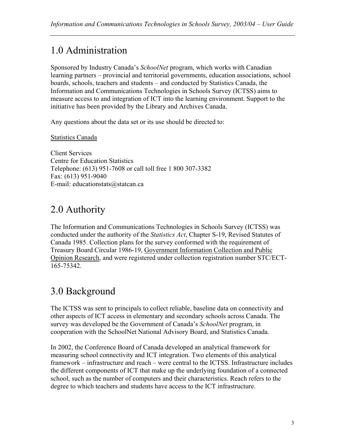# 1.0 Administration

Sponsored by Industry Canada's *SchoolNet* program, which works with Canadian learning partners – provincial and territorial governments, education associations, school boards, schools, teachers and students – and conducted by Statistics Canada, the Information and Communications Technologies in Schools Survey (ICTSS) aims to measure access to and integration of ICT into the learning environment. Support to the initiative has been provided by the Library and Archives Canada.

Any questions about the data set or its use should be directed to:

Statistics Canada

Client Services Centre for Education Statistics Telephone: (613) 951-7608 or call toll free 1 800 307-3382 Fax: (613) 951-9040 E-mail: educationstats@statcan.ca

# 2.0 Authority

The Information and Communications Technologies in Schools Survey (ICTSS) was conducted under the authority of the *Statistics Act*, Chapter S-19, Revised Statutes of Canada 1985. Collection plans for the survey conformed with the requirement of Treasury Board Circular 1986-19, Government Information Collection and Public Opinion Research, and were registered under collection registration number STC/ECT-165-75342.

# 3.0 Background

The ICTSS was sent to principals to collect reliable, baseline data on connectivity and other aspects of ICT access in elementary and secondary schools across Canada. The survey was developed be the Government of Canada's *SchoolNet* program, in cooperation with the SchoolNet National Advisory Board, and Statistics Canada.

In 2002, the Conference Board of Canada developed an analytical framework for measuring school connectivity and ICT integration. Two elements of this analytical framework – infrastructure and reach – were central to the ICTSS. Infrastructure includes the different components of ICT that make up the underlying foundation of a connected school, such as the number of computers and their characteristics. Reach refers to the degree to which teachers and students have access to the ICT infrastructure.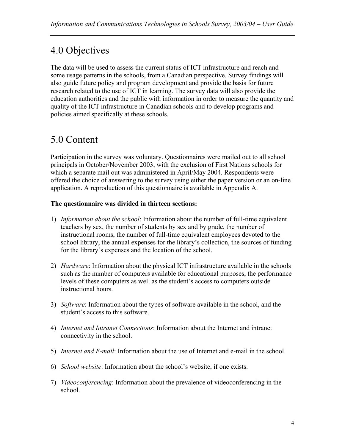# 4.0 Objectives

The data will be used to assess the current status of ICT infrastructure and reach and some usage patterns in the schools, from a Canadian perspective. Survey findings will also guide future policy and program development and provide the basis for future research related to the use of ICT in learning. The survey data will also provide the education authorities and the public with information in order to measure the quantity and quality of the ICT infrastructure in Canadian schools and to develop programs and policies aimed specifically at these schools.

# 5.0 Content

Participation in the survey was voluntary. Questionnaires were mailed out to all school principals in October/November 2003, with the exclusion of First Nations schools for which a separate mail out was administered in April/May 2004. Respondents were offered the choice of answering to the survey using either the paper version or an on-line application. A reproduction of this questionnaire is available in Appendix A.

#### **The questionnaire was divided in thirteen sections:**

- 1) *Information about the school*: Information about the number of full-time equivalent teachers by sex, the number of students by sex and by grade, the number of instructional rooms, the number of full-time equivalent employees devoted to the school library, the annual expenses for the library's collection, the sources of funding for the library's expenses and the location of the school.
- 2) *Hardware*: Information about the physical ICT infrastructure available in the schools such as the number of computers available for educational purposes, the performance levels of these computers as well as the student's access to computers outside instructional hours.
- 3) *Software*: Information about the types of software available in the school, and the student's access to this software.
- 4) *Internet and Intranet Connections*: Information about the Internet and intranet connectivity in the school.
- 5) *Internet and E-mail*: Information about the use of Internet and e-mail in the school.
- 6) *School website*: Information about the school's website, if one exists.
- 7) *Videoconferencing*: Information about the prevalence of videoconferencing in the school.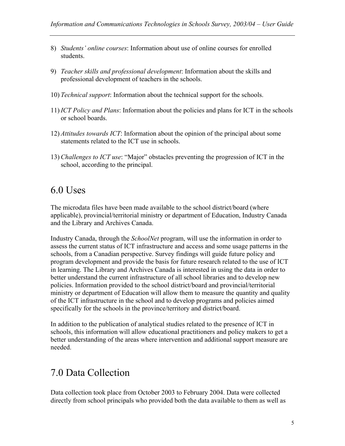- 8) *Students' online courses*: Information about use of online courses for enrolled students.
- 9) *Teacher skills and professional development*: Information about the skills and professional development of teachers in the schools.
- 10) *Technical support*: Information about the technical support for the schools.
- 11) *ICT Policy and Plans*: Information about the policies and plans for ICT in the schools or school boards.
- 12) *Attitudes towards ICT*: Information about the opinion of the principal about some statements related to the ICT use in schools.
- 13) *Challenges to ICT use*: "Major" obstacles preventing the progression of ICT in the school, according to the principal.

## 6.0 Uses

The microdata files have been made available to the school district/board (where applicable), provincial/territorial ministry or department of Education, Industry Canada and the Library and Archives Canada.

Industry Canada, through the *SchoolNet* program, will use the information in order to assess the current status of ICT infrastructure and access and some usage patterns in the schools, from a Canadian perspective. Survey findings will guide future policy and program development and provide the basis for future research related to the use of ICT in learning. The Library and Archives Canada is interested in using the data in order to better understand the current infrastructure of all school libraries and to develop new policies. Information provided to the school district/board and provincial/territorial ministry or department of Education will allow them to measure the quantity and quality of the ICT infrastructure in the school and to develop programs and policies aimed specifically for the schools in the province/territory and district/board.

In addition to the publication of analytical studies related to the presence of ICT in schools, this information will allow educational practitioners and policy makers to get a better understanding of the areas where intervention and additional support measure are needed.

## 7.0 Data Collection

Data collection took place from October 2003 to February 2004. Data were collected directly from school principals who provided both the data available to them as well as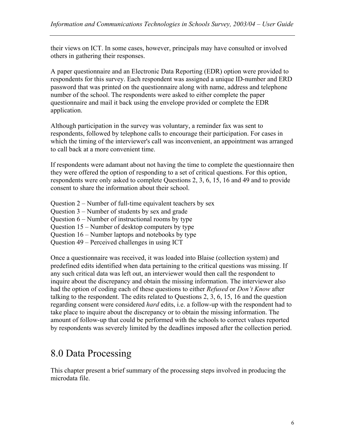their views on ICT. In some cases, however, principals may have consulted or involved others in gathering their responses.

A paper questionnaire and an Electronic Data Reporting (EDR) option were provided to respondents for this survey. Each respondent was assigned a unique ID-number and ERD password that was printed on the questionnaire along with name, address and telephone number of the school. The respondents were asked to either complete the paper questionnaire and mail it back using the envelope provided or complete the EDR application.

Although participation in the survey was voluntary, a reminder fax was sent to respondents, followed by telephone calls to encourage their participation. For cases in which the timing of the interviewer's call was inconvenient, an appointment was arranged to call back at a more convenient time.

If respondents were adamant about not having the time to complete the questionnaire then they were offered the option of responding to a set of critical questions. For this option, respondents were only asked to complete Questions 2, 3, 6, 15, 16 and 49 and to provide consent to share the information about their school.

Question 2 – Number of full-time equivalent teachers by sex

Question 3 – Number of students by sex and grade

Question 6 – Number of instructional rooms by type

Question 15 – Number of desktop computers by type

Question 16 – Number laptops and notebooks by type

Question 49 – Perceived challenges in using ICT

Once a questionnaire was received, it was loaded into Blaise (collection system) and predefined edits identified when data pertaining to the critical questions was missing. If any such critical data was left out, an interviewer would then call the respondent to inquire about the discrepancy and obtain the missing information. The interviewer also had the option of coding each of these questions to either *Refused* or *Don't Know* after talking to the respondent. The edits related to Questions 2, 3, 6, 15, 16 and the question regarding consent were considered *hard* edits, i.e. a follow-up with the respondent had to take place to inquire about the discrepancy or to obtain the missing information. The amount of follow-up that could be performed with the schools to correct values reported by respondents was severely limited by the deadlines imposed after the collection period.

# 8.0 Data Processing

This chapter present a brief summary of the processing steps involved in producing the microdata file.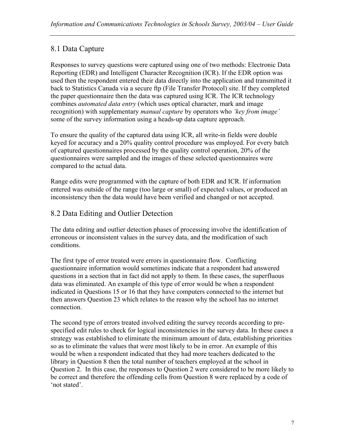## 8.1 Data Capture

Responses to survey questions were captured using one of two methods: Electronic Data Reporting (EDR) and Intelligent Character Recognition (ICR). If the EDR option was used then the respondent entered their data directly into the application and transmitted it back to Statistics Canada via a secure ftp (File Transfer Protocol) site. If they completed the paper questionnaire then the data was captured using ICR. The ICR technology combines *automated data entry* (which uses optical character, mark and image recognition) with supplementary *manual capture* by operators who *'key from image'*  some of the survey information using a heads-up data capture approach.

To ensure the quality of the captured data using ICR, all write-in fields were double keyed for accuracy and a 20% quality control procedure was employed. For every batch of captured questionnaires processed by the quality control operation, 20% of the questionnaires were sampled and the images of these selected questionnaires were compared to the actual data.

Range edits were programmed with the capture of both EDR and ICR. If information entered was outside of the range (too large or small) of expected values, or produced an inconsistency then the data would have been verified and changed or not accepted.

## 8.2 Data Editing and Outlier Detection

The data editing and outlier detection phases of processing involve the identification of erroneous or inconsistent values in the survey data, and the modification of such conditions.

The first type of error treated were errors in questionnaire flow. Conflicting questionnaire information would sometimes indicate that a respondent had answered questions in a section that in fact did not apply to them. In these cases, the superfluous data was eliminated. An example of this type of error would be when a respondent indicated in Questions 15 or 16 that they have computers connected to the internet but then answers Question 23 which relates to the reason why the school has no internet connection.

The second type of errors treated involved editing the survey records according to prespecified edit rules to check for logical inconsistencies in the survey data. In these cases a strategy was established to eliminate the minimum amount of data, establishing priorities so as to eliminate the values that were most likely to be in error. An example of this would be when a respondent indicated that they had more teachers dedicated to the library in Question 8 then the total number of teachers employed at the school in Question 2. In this case, the responses to Question 2 were considered to be more likely to be correct and therefore the offending cells from Question 8 were replaced by a code of 'not stated'.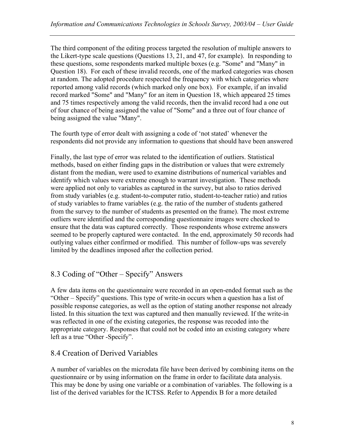The third component of the editing process targeted the resolution of multiple answers to the Likert-type scale questions (Questions 13, 21, and 47, for example). In responding to these questions, some respondents marked multiple boxes (e.g. "Some" and "Many" in Question 18). For each of these invalid records, one of the marked categories was chosen at random. The adopted procedure respected the frequency with which categories where reported among valid records (which marked only one box). For example, if an invalid record marked "Some" and "Many" for an item in Question 18, which appeared 25 times and 75 times respectively among the valid records, then the invalid record had a one out of four chance of being assigned the value of "Some" and a three out of four chance of being assigned the value "Many".

The fourth type of error dealt with assigning a code of 'not stated' whenever the respondents did not provide any information to questions that should have been answered

Finally, the last type of error was related to the identification of outliers. Statistical methods, based on either finding gaps in the distribution or values that were extremely distant from the median, were used to examine distributions of numerical variables and identify which values were extreme enough to warrant investigation. These methods were applied not only to variables as captured in the survey, but also to ratios derived from study variables (e.g. student-to-computer ratio, student-to-teacher ratio) and ratios of study variables to frame variables (e.g. the ratio of the number of students gathered from the survey to the number of students as presented on the frame). The most extreme outliers were identified and the corresponding questionnaire images were checked to ensure that the data was captured correctly. Those respondents whose extreme answers seemed to be properly captured were contacted. In the end, approximately 50 records had outlying values either confirmed or modified. This number of follow-ups was severely limited by the deadlines imposed after the collection period.

## 8.3 Coding of "Other – Specify" Answers

A few data items on the questionnaire were recorded in an open-ended format such as the "Other – Specify" questions. This type of write-in occurs when a question has a list of possible response categories, as well as the option of stating another response not already listed. In this situation the text was captured and then manually reviewed. If the write-in was reflected in one of the existing categories, the response was recoded into the appropriate category. Responses that could not be coded into an existing category where left as a true "Other -Specify".

### 8.4 Creation of Derived Variables

A number of variables on the microdata file have been derived by combining items on the questionnaire or by using information on the frame in order to facilitate data analysis. This may be done by using one variable or a combination of variables. The following is a list of the derived variables for the ICTSS. Refer to Appendix B for a more detailed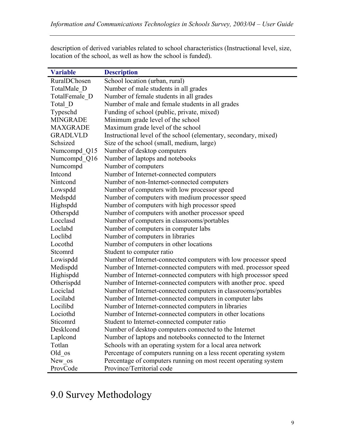| <b>Variable</b> | <b>Description</b>                                                |
|-----------------|-------------------------------------------------------------------|
| RuralDChosen    | School location (urban, rural)                                    |
| TotalMale D     | Number of male students in all grades                             |
| TotalFemale D   | Number of female students in all grades                           |
| Total D         | Number of male and female students in all grades                  |
| Typeschd        | Funding of school (public, private, mixed)                        |
| <b>MINGRADE</b> | Minimum grade level of the school                                 |
| <b>MAXGRADE</b> | Maximum grade level of the school                                 |
| <b>GRADLVLD</b> | Instructional level of the school (elementary, secondary, mixed)  |
| Schsized        | Size of the school (small, medium, large)                         |
| Numcompd Q15    | Number of desktop computers                                       |
| Numcompd Q16    | Number of laptops and notebooks                                   |
| Numcompd        | Number of computers                                               |
| Intcond         | Number of Internet-connected computers                            |
| Nintcond        | Number of non-Internet-connected computers                        |
| Lowspdd         | Number of computers with low processor speed                      |
| Medspdd         | Number of computers with medium processor speed                   |
| Highspdd        | Number of computers with high processor speed                     |
| Otherspdd       | Number of computers with another processor speed                  |
| Locclasd        | Number of computers in classrooms/portables                       |
| Loclabd         | Number of computers in computer labs                              |
| Loclibd         | Number of computers in libraries                                  |
| Locothd         | Number of computers in other locations                            |
| Stcomrd         | Student to computer ratio                                         |
| Lowispdd        | Number of Internet-connected computers with low processor speed   |
| Medispdd        | Number of Internet-connected computers with med. processor speed  |
| Highispdd       | Number of Internet-connected computers with high processor speed  |
| Otherispdd      | Number of Internet-connected computers with another proc. speed   |
| Lociclad        | Number of Internet-connected computers in classrooms/portables    |
| Locilabd        | Number of Internet-connected computers in computer labs           |
| Locilibd        | Number of Internet-connected computers in libraries               |
| Lociothd        | Number of Internet-connected computers in other locations         |
| Sticomrd        | Student to Internet-connected computer ratio                      |
| Desklcond       | Number of desktop computers connected to the Internet             |
| Laplcond        | Number of laptops and notebooks connected to the Internet         |
| Totlan          | Schools with an operating system for a local area network         |
| Old os          | Percentage of computers running on a less recent operating system |
| New os          | Percentage of computers running on most recent operating system   |
| ProvCode        | Province/Territorial code                                         |

description of derived variables related to school characteristics (Instructional level, size, location of the school, as well as how the school is funded).

# 9.0 Survey Methodology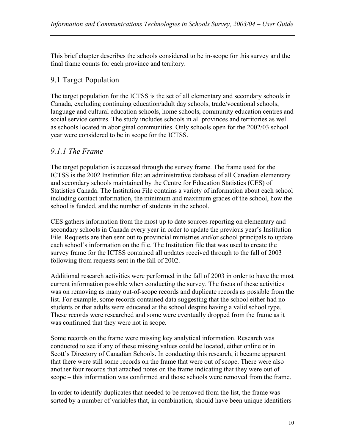This brief chapter describes the schools considered to be in-scope for this survey and the final frame counts for each province and territory.

### 9.1 Target Population

The target population for the ICTSS is the set of all elementary and secondary schools in Canada, excluding continuing education/adult day schools, trade/vocational schools, language and cultural education schools, home schools, community education centres and social service centres. The study includes schools in all provinces and territories as well as schools located in aboriginal communities. Only schools open for the 2002/03 school year were considered to be in scope for the ICTSS.

### *9.1.1 The Frame*

The target population is accessed through the survey frame. The frame used for the ICTSS is the 2002 Institution file: an administrative database of all Canadian elementary and secondary schools maintained by the Centre for Education Statistics (CES) of Statistics Canada. The Institution File contains a variety of information about each school including contact information, the minimum and maximum grades of the school, how the school is funded, and the number of students in the school.

CES gathers information from the most up to date sources reporting on elementary and secondary schools in Canada every year in order to update the previous year's Institution File. Requests are then sent out to provincial ministries and/or school principals to update each school's information on the file. The Institution file that was used to create the survey frame for the ICTSS contained all updates received through to the fall of 2003 following from requests sent in the fall of 2002.

Additional research activities were performed in the fall of 2003 in order to have the most current information possible when conducting the survey. The focus of these activities was on removing as many out-of-scope records and duplicate records as possible from the list. For example, some records contained data suggesting that the school either had no students or that adults were educated at the school despite having a valid school type. These records were researched and some were eventually dropped from the frame as it was confirmed that they were not in scope.

Some records on the frame were missing key analytical information. Research was conducted to see if any of these missing values could be located, either online or in Scott's Directory of Canadian Schools. In conducting this research, it became apparent that there were still some records on the frame that were out of scope. There were also another four records that attached notes on the frame indicating that they were out of scope – this information was confirmed and those schools were removed from the frame.

In order to identify duplicates that needed to be removed from the list, the frame was sorted by a number of variables that, in combination, should have been unique identifiers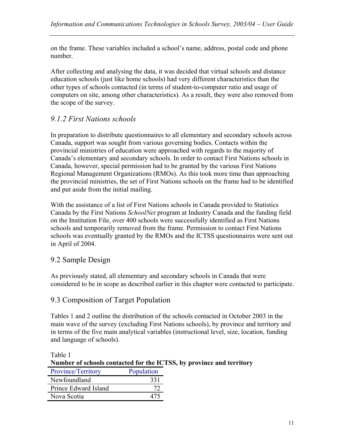on the frame. These variables included a school's name, address, postal code and phone number.

After collecting and analysing the data, it was decided that virtual schools and distance education schools (just like home schools) had very different characteristics than the other types of schools contacted (in terms of student-to-computer ratio and usage of computers on site, among other characteristics). As a result, they were also removed from the scope of the survey.

## *9.1.2 First Nations schools*

In preparation to distribute questionnaires to all elementary and secondary schools across Canada, support was sought from various governing bodies. Contacts within the provincial ministries of education were approached with regards to the majority of Canada's elementary and secondary schools. In order to contact First Nations schools in Canada, however, special permission had to be granted by the various First Nations Regional Management Organizations (RMOs). As this took more time than approaching the provincial ministries, the set of First Nations schools on the frame had to be identified and put aside from the initial mailing.

With the assistance of a list of First Nations schools in Canada provided to Statistics Canada by the First Nations *SchoolNet* program at Industry Canada and the funding field on the Institution File, over 400 schools were successfully identified as First Nations schools and temporarily removed from the frame. Permission to contact First Nations schools was eventually granted by the RMOs and the ICTSS questionnaires were sent out in April of 2004.

## 9.2 Sample Design

As previously stated, all elementary and secondary schools in Canada that were considered to be in scope as described earlier in this chapter were contacted to participate.

## 9.3 Composition of Target Population

Tables 1 and 2 outline the distribution of the schools contacted in October 2003 in the main wave of the survey (excluding First Nations schools), by province and territory and in terms of the five main analytical variables (instructional level, size, location, funding and language of schools).

Table 1 **Number of schools contacted for the ICTSS, by province and territory** 

| Province/Territory   | Population |
|----------------------|------------|
| Newfoundland         | 331        |
| Prince Edward Island |            |
| Nova Scotia          | 475        |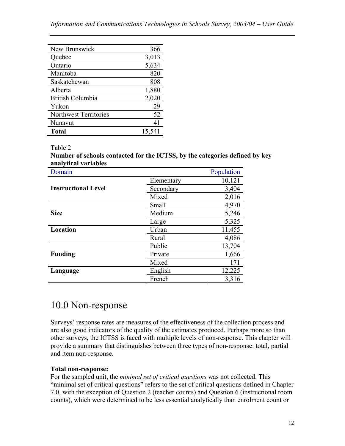| New Brunswick                | 366    |
|------------------------------|--------|
| Quebec                       | 3,013  |
| Ontario                      | 5,634  |
| Manitoba                     | 820    |
| Saskatchewan                 | 808    |
| Alberta                      | 1,880  |
| <b>British Columbia</b>      | 2,020  |
| Yukon                        | 29     |
| <b>Northwest Territories</b> | 52     |
| Nunavut                      | 41     |
| Total                        | 15,541 |

Table 2

**Number of schools contacted for the ICTSS, by the categories defined by key analytical variables** 

| Domain                     |            | Population |
|----------------------------|------------|------------|
|                            | Elementary | 10,121     |
| <b>Instructional Level</b> | Secondary  | 3,404      |
|                            | Mixed      | 2,016      |
|                            | Small      | 4,970      |
| <b>Size</b>                | Medium     | 5,246      |
|                            | Large      | 5,325      |
| Location                   | Urban      | 11,455     |
|                            | Rural      | 4,086      |
|                            | Public     | 13,704     |
| <b>Funding</b>             | Private    | 1,666      |
|                            | Mixed      | 171        |
| Language                   | English    | 12,225     |
|                            | French     | 3,316      |

# 10.0 Non-response

Surveys' response rates are measures of the effectiveness of the collection process and are also good indicators of the quality of the estimates produced. Perhaps more so than other surveys, the ICTSS is faced with multiple levels of non-response. This chapter will provide a summary that distinguishes between three types of non-response: total, partial and item non-response.

### **Total non-response:**

For the sampled unit, the *minimal set of critical questions* was not collected. This "minimal set of critical questions" refers to the set of critical questions defined in Chapter 7.0, with the exception of Question 2 (teacher counts) and Question 6 (instructional room counts), which were determined to be less essential analytically than enrolment count or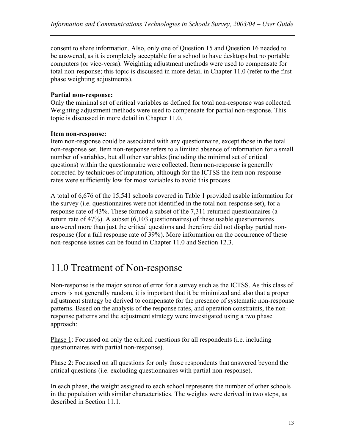consent to share information. Also, only one of Question 15 and Question 16 needed to be answered, as it is completely acceptable for a school to have desktops but no portable computers (or vice-versa). Weighting adjustment methods were used to compensate for total non-response; this topic is discussed in more detail in Chapter 11.0 (refer to the first phase weighting adjustments).

#### **Partial non-response:**

Only the minimal set of critical variables as defined for total non-response was collected. Weighting adjustment methods were used to compensate for partial non-response. This topic is discussed in more detail in Chapter 11.0.

#### **Item non-response:**

Item non-response could be associated with any questionnaire, except those in the total non-response set. Item non-response refers to a limited absence of information for a small number of variables, but all other variables (including the minimal set of critical questions) within the questionnaire were collected. Item non-response is generally corrected by techniques of imputation, although for the ICTSS the item non-response rates were sufficiently low for most variables to avoid this process.

A total of 6,676 of the 15,541 schools covered in Table 1 provided usable information for the survey (i.e. questionnaires were not identified in the total non-response set), for a response rate of 43%. These formed a subset of the 7,311 returned questionnaires (a return rate of 47%). A subset (6,103 questionnaires) of these usable questionnaires answered more than just the critical questions and therefore did not display partial nonresponse (for a full response rate of 39%). More information on the occurrence of these non-response issues can be found in Chapter 11.0 and Section 12.3.

# 11.0 Treatment of Non-response

Non-response is the major source of error for a survey such as the ICTSS. As this class of errors is not generally random, it is important that it be minimized and also that a proper adjustment strategy be derived to compensate for the presence of systematic non-response patterns. Based on the analysis of the response rates, and operation constraints, the nonresponse patterns and the adjustment strategy were investigated using a two phase approach:

Phase 1: Focussed on only the critical questions for all respondents (i.e. including questionnaires with partial non-response).

Phase 2: Focussed on all questions for only those respondents that answered beyond the critical questions (i.e. excluding questionnaires with partial non-response).

In each phase, the weight assigned to each school represents the number of other schools in the population with similar characteristics. The weights were derived in two steps, as described in Section 11.1.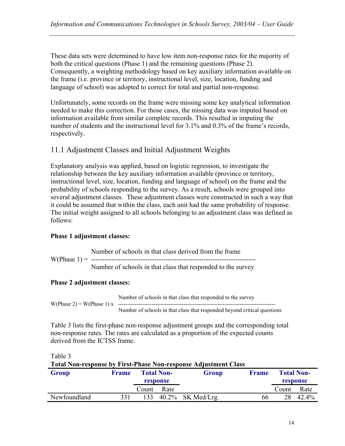These data sets were determined to have low item non-response rates for the majority of both the critical questions (Phase 1) and the remaining questions (Phase 2). Consequently, a weighting methodology based on key auxiliary information available on the frame (i.e. province or territory, instructional level, size, location, funding and language of school) was adopted to correct for total and partial non-response.

Unfortunately, some records on the frame were missing some key analytical information needed to make this correction. For those cases, the missing data was imputed based on information available from similar complete records. This resulted in imputing the number of students and the instructional level for 3.1% and 0.3% of the frame's records, respectively.

### 11.1 Adjustment Classes and Initial Adjustment Weights

Explanatory analysis was applied, based on logistic regression, to investigate the relationship between the key auxiliary information available (province or territory, instructional level, size, location, funding and language of school) on the frame and the probability of schools responding to the survey. As a result, schools were grouped into several adjustment classes. These adjustment classes were constructed in such a way that it could be assumed that within the class, each unit had the same probability of response. The initial weight assigned to all schools belonging to an adjustment class was defined as follows:

#### **Phase 1 adjustment classes:**

Number of schools in that class derived from the frame W(Phase 1) = -------------------------------------------------------------------------

Number of schools in that class that responded to the survey

#### **Phase 2 adjustment classes:**

 Number of schools in that class that responded to the survey W(Phase 2) = W(Phase 1) x ------------------------------------------------------------------------------------ Number of schools in that class that responded beyond critical questions

Table 3 lists the first-phase non-response adjustment groups and the corresponding total non-response rates. The rates are calculated as a proportion of the expected counts derived from the ICTSS frame.

Table 3

**Total Non-response by First-Phase Non-response Adjustment Class TOTAL 1 NO** 

| Group        | <b>Frame</b> | <b>Total Non-</b> |          | Group                | Frame |       | <b>Total Non-</b> |
|--------------|--------------|-------------------|----------|----------------------|-------|-------|-------------------|
|              |              |                   | response |                      |       |       | response          |
|              |              | Count             | Rate     |                      |       | Count | Rate              |
| Newfoundland | 331          | 133               |          | $40.2\%$ SK Med/Lrg. | 66    | 28    | 42.4%             |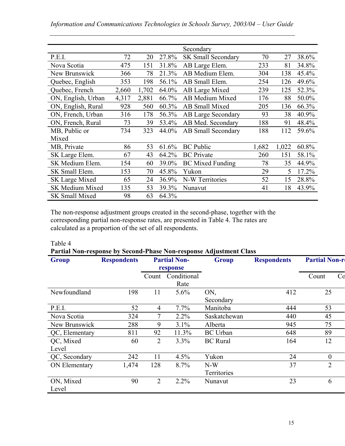|                        |       |       |       | Secondary                 |       |       |       |
|------------------------|-------|-------|-------|---------------------------|-------|-------|-------|
| P.E.I.                 | 72    | 20    | 27.8% | <b>SK Small Secondary</b> | 70    | 27    | 38.6% |
| Nova Scotia            | 475   | 151   | 31.8% | AB Large Elem.            | 233   | 81    | 34.8% |
| New Brunswick          | 366   | 78    | 21.3% | AB Medium Elem.           | 304   | 138   | 45.4% |
| Quebec, English        | 353   | 198   | 56.1% | AB Small Elem.            | 254   | 126   | 49.6% |
| Quebec, French         | 2,660 | 1,702 | 64.0% | AB Large Mixed            | 239   | 125   | 52.3% |
| ON, English, Urban     | 4,317 | 2,881 | 66.7% | <b>AB Medium Mixed</b>    | 176   | 88    | 50.0% |
| ON, English, Rural     | 928   | 560   | 60.3% | <b>AB Small Mixed</b>     | 205   | 136   | 66.3% |
| ON, French, Urban      | 316   | 178   | 56.3% | <b>AB Large Secondary</b> | 93    | 38    | 40.9% |
| ON, French, Rural      | 73    | 39    | 53.4% | AB Med. Secondary         | 188   | 91    | 48.4% |
| MB, Public or          | 734   | 323   | 44.0% | <b>AB Small Secondary</b> | 188   | 112   | 59.6% |
| Mixed                  |       |       |       |                           |       |       |       |
| MB, Private            | 86    | 53    | 61.6% | <b>BC</b> Public          | 1,682 | 1,022 | 60.8% |
| SK Large Elem.         | 67    | 43    | 64.2% | <b>BC</b> Private         | 260   | 151   | 58.1% |
| SK Medium Elem.        | 154   | 60    | 39.0% | <b>BC</b> Mixed Funding   | 78    | 35    | 44.9% |
| SK Small Elem.         | 153   | 70    | 45.8% | Yukon                     | 29    | 5     | 17.2% |
| SK Large Mixed         | 65    | 24    | 36.9% | N-W Territories           | 52    | 15    | 28.8% |
| <b>SK Medium Mixed</b> | 135   | 53    | 39.3% | Nunavut                   | 41    | 18    | 43.9% |
| <b>SK Small Mixed</b>  | 98    | 63    | 64.3% |                           |       |       |       |

The non-response adjustment groups created in the second-phase, together with the corresponding partial non-response rates, are presented in Table 4. The rates are calculated as a proportion of the set of all respondents.

#### Table 4

**Partial Non-response by Second-Phase Non-response Adjustment Class** 

| <b>Group</b>   | <b>Respondents</b> | <b>Partial Non-</b> |             | <b>Group</b>    | <b>Respondents</b> | <b>Partial Non-r</b> |    |
|----------------|--------------------|---------------------|-------------|-----------------|--------------------|----------------------|----|
|                |                    | response            |             |                 |                    |                      |    |
|                |                    | Count               | Conditional |                 |                    | Count                | Co |
|                |                    |                     | Rate        |                 |                    |                      |    |
| Newfoundland   | 198                | 11                  | 5.6%        | ON,             | 412                | 25                   |    |
|                |                    |                     |             | Secondary       |                    |                      |    |
| P.E.I.         | 52                 | 4                   | 7.7%        | Manitoba        | 444                | 53                   |    |
| Nova Scotia    | 324                | 7                   | 2.2%        | Saskatchewan    | 440                | 45                   |    |
| New Brunswick  | 288                | 9                   | 3.1%        | Alberta         | 945                | 75                   |    |
| QC, Elementary | 811                | 92                  | 11.3%       | <b>BC</b> Urban | 648                | 89                   |    |
| QC, Mixed      | 60                 | $\overline{2}$      | 3.3%        | <b>BC</b> Rural | 164                | 12                   |    |
| Level          |                    |                     |             |                 |                    |                      |    |
| QC, Secondary  | 242                | 11                  | 4.5%        | Yukon           | 24                 | $\boldsymbol{0}$     |    |
| ON Elementary  | 1,474              | 128                 | 8.7%        | $N-W$           | 37                 | $\overline{2}$       |    |
|                |                    |                     |             | Territories     |                    |                      |    |
| ON, Mixed      | 90                 | $\overline{2}$      | $2.2\%$     | Nunavut         | 23                 | 6                    |    |
| Level          |                    |                     |             |                 |                    |                      |    |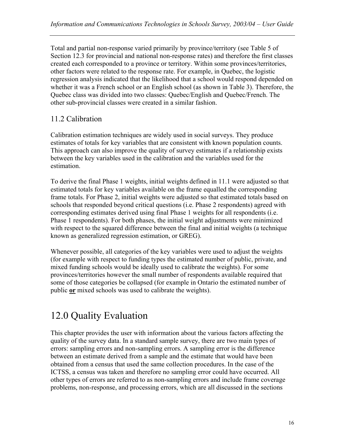Total and partial non-response varied primarily by province/territory (see Table 5 of Section 12.3 for provincial and national non-response rates) and therefore the first classes created each corresponded to a province or territory. Within some provinces/territories, other factors were related to the response rate. For example, in Quebec, the logistic regression analysis indicated that the likelihood that a school would respond depended on whether it was a French school or an English school (as shown in Table 3). Therefore, the Quebec class was divided into two classes: Quebec/English and Quebec/French. The other sub-provincial classes were created in a similar fashion.

## 11.2 Calibration

Calibration estimation techniques are widely used in social surveys. They produce estimates of totals for key variables that are consistent with known population counts. This approach can also improve the quality of survey estimates if a relationship exists between the key variables used in the calibration and the variables used for the estimation.

To derive the final Phase 1 weights, initial weights defined in 11.1 were adjusted so that estimated totals for key variables available on the frame equalled the corresponding frame totals. For Phase 2, initial weights were adjusted so that estimated totals based on schools that responded beyond critical questions (i.e. Phase 2 respondents) agreed with corresponding estimates derived using final Phase 1 weights for all respondents (i.e. Phase 1 respondents). For both phases, the initial weight adjustments were minimized with respect to the squared difference between the final and initial weights (a technique known as generalized regression estimation, or GREG).

Whenever possible, all categories of the key variables were used to adjust the weights (for example with respect to funding types the estimated number of public, private, and mixed funding schools would be ideally used to calibrate the weights). For some provinces/territories however the small number of respondents available required that some of those categories be collapsed (for example in Ontario the estimated number of public **or** mixed schools was used to calibrate the weights).

# 12.0 Quality Evaluation

This chapter provides the user with information about the various factors affecting the quality of the survey data. In a standard sample survey, there are two main types of errors: sampling errors and non-sampling errors. A sampling error is the difference between an estimate derived from a sample and the estimate that would have been obtained from a census that used the same collection procedures. In the case of the ICTSS, a census was taken and therefore no sampling error could have occurred. All other types of errors are referred to as non-sampling errors and include frame coverage problems, non-response, and processing errors, which are all discussed in the sections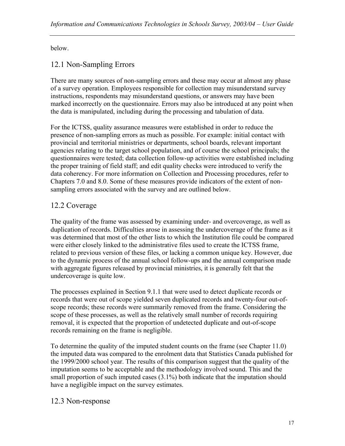below.

## 12.1 Non-Sampling Errors

There are many sources of non-sampling errors and these may occur at almost any phase of a survey operation. Employees responsible for collection may misunderstand survey instructions, respondents may misunderstand questions, or answers may have been marked incorrectly on the questionnaire. Errors may also be introduced at any point when the data is manipulated, including during the processing and tabulation of data.

For the ICTSS, quality assurance measures were established in order to reduce the presence of non-sampling errors as much as possible. For example: initial contact with provincial and territorial ministries or departments, school boards, relevant important agencies relating to the target school population, and of course the school principals; the questionnaires were tested; data collection follow-up activities were established including the proper training of field staff; and edit quality checks were introduced to verify the data coherency. For more information on Collection and Processing procedures, refer to Chapters 7.0 and 8.0. Some of these measures provide indicators of the extent of nonsampling errors associated with the survey and are outlined below.

## 12.2 Coverage

The quality of the frame was assessed by examining under- and overcoverage, as well as duplication of records. Difficulties arose in assessing the undercoverage of the frame as it was determined that most of the other lists to which the Institution file could be compared were either closely linked to the administrative files used to create the ICTSS frame, related to previous version of these files, or lacking a common unique key. However, due to the dynamic process of the annual school follow-ups and the annual comparison made with aggregate figures released by provincial ministries, it is generally felt that the undercoverage is quite low.

The processes explained in Section 9.1.1 that were used to detect duplicate records or records that were out of scope yielded seven duplicated records and twenty-four out-ofscope records; these records were summarily removed from the frame. Considering the scope of these processes, as well as the relatively small number of records requiring removal, it is expected that the proportion of undetected duplicate and out-of-scope records remaining on the frame is negligible.

To determine the quality of the imputed student counts on the frame (see Chapter 11.0) the imputed data was compared to the enrolment data that Statistics Canada published for the 1999/2000 school year. The results of this comparison suggest that the quality of the imputation seems to be acceptable and the methodology involved sound. This and the small proportion of such imputed cases  $(3.1\%)$  both indicate that the imputation should have a negligible impact on the survey estimates.

### 12.3 Non-response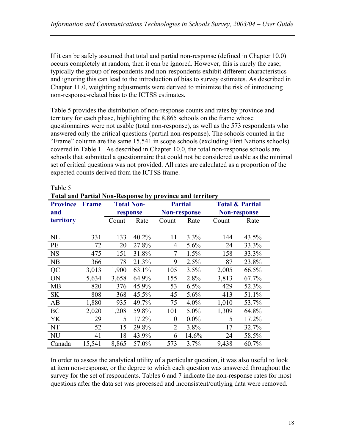If it can be safely assumed that total and partial non-response (defined in Chapter 10.0) occurs completely at random, then it can be ignored. However, this is rarely the case; typically the group of respondents and non-respondents exhibit different characteristics and ignoring this can lead to the introduction of bias to survey estimates. As described in Chapter 11.0, weighting adjustments were derived to minimize the risk of introducing non-response-related bias to the ICTSS estimates.

Table 5 provides the distribution of non-response counts and rates by province and territory for each phase, highlighting the 8,865 schools on the frame whose questionnaires were not usable (total non-response), as well as the 573 respondents who answered only the critical questions (partial non-response). The schools counted in the "Frame" column are the same 15,541 in scope schools (excluding First Nations schools) covered in Table 1. As described in Chapter 10.0, the total non-response schools are schools that submitted a questionnaire that could not be considered usable as the minimal set of critical questions was not provided. All rates are calculated as a proportion of the expected counts derived from the ICTSS frame.

| <b>Total and Partial Non-Response by province and territory</b> |              |       |                               |                |                                       |       |                                                   |  |  |
|-----------------------------------------------------------------|--------------|-------|-------------------------------|----------------|---------------------------------------|-------|---------------------------------------------------|--|--|
| <b>Province</b><br>and                                          | <b>Frame</b> |       | <b>Total Non-</b><br>response |                | <b>Partial</b><br><b>Non-response</b> |       | <b>Total &amp; Partial</b><br><b>Non-response</b> |  |  |
| territory                                                       |              | Count | Rate                          | Count          | Rate                                  | Count | Rate                                              |  |  |
| NL                                                              | 331          | 133   | 40.2%                         | 11             | 3.3%                                  | 144   | 43.5%                                             |  |  |
| PE                                                              | 72           | 20    | 27.8%                         | 4              | 5.6%                                  | 24    | 33.3%                                             |  |  |
| <b>NS</b>                                                       | 475          | 151   | 31.8%                         | 7              | 1.5%                                  | 158   | 33.3%                                             |  |  |
| NB                                                              | 366          | 78    | 21.3%                         | 9              | 2.5%                                  | 87    | 23.8%                                             |  |  |
| QC                                                              | 3,013        | 1,900 | 63.1%                         | 105            | 3.5%                                  | 2,005 | 66.5%                                             |  |  |
| ON                                                              | 5,634        | 3,658 | 64.9%                         | 155            | 2.8%                                  | 3,813 | 67.7%                                             |  |  |
| <b>MB</b>                                                       | 820          | 376   | 45.9%                         | 53             | 6.5%                                  | 429   | 52.3%                                             |  |  |
| <b>SK</b>                                                       | 808          | 368   | 45.5%                         | 45             | 5.6%                                  | 413   | 51.1%                                             |  |  |
| AB                                                              | 1,880        | 935   | 49.7%                         | 75             | $4.0\%$                               | 1,010 | 53.7%                                             |  |  |
| BC                                                              | 2,020        | 1,208 | 59.8%                         | 101            | 5.0%                                  | 1,309 | 64.8%                                             |  |  |
| YK                                                              | 29           | 5     | 17.2%                         | $\theta$       | $0.0\%$                               | 5     | 17.2%                                             |  |  |
| NT                                                              | 52           | 15    | 29.8%                         | $\overline{2}$ | 3.8%                                  | 17    | 32.7%                                             |  |  |
| <b>NU</b>                                                       | 41           | 18    | 43.9%                         | 6              | 14.6%                                 | 24    | 58.5%                                             |  |  |
| Canada                                                          | 15,541       | 8,865 | 57.0%                         | 573            | 3.7%                                  | 9,438 | 60.7%                                             |  |  |

Table 5

In order to assess the analytical utility of a particular question, it was also useful to look at item non-response, or the degree to which each question was answered throughout the survey for the set of respondents. Tables 6 and 7 indicate the non-response rates for most questions after the data set was processed and inconsistent/outlying data were removed.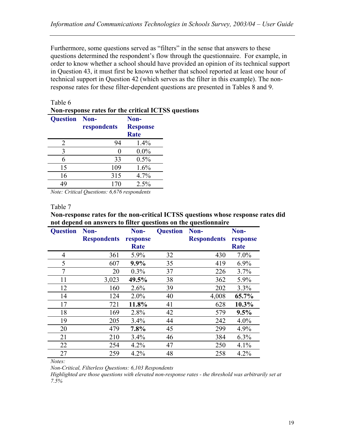Furthermore, some questions served as "filters" in the sense that answers to these questions determined the respondent's flow through the questionnaire. For example, in order to know whether a school should have provided an opinion of its technical support in Question 43, it must first be known whether that school reported at least one hour of technical support in Question 42 (which serves as the filter in this example). The nonresponse rates for these filter-dependent questions are presented in Tables 8 and 9.

#### Table 6

#### **Non-response rates for the critical ICTSS questions**

| <b>Question</b> | Non-        | Non-            |
|-----------------|-------------|-----------------|
|                 | respondents | <b>Response</b> |
|                 |             | <b>Rate</b>     |
| 2               | 94          | 1.4%            |
| 3               |             | $0.0\%$         |
| 6               | 33          | 0.5%            |
| 15              | 109         | 1.6%            |
| 16              | 315         | 4.7%            |
| 49              | 170         | 2.5%            |

*Note: Critical Questions: 6,676 respondents* 

#### Table 7

**Non-response rates for the non-critical ICTSS questions whose response rates did not depend on answers to filter questions on the questionnaire** 

| <b>Question</b> | Non-               | Non-        | <b>Question</b> | Non-               | Non-     |
|-----------------|--------------------|-------------|-----------------|--------------------|----------|
|                 | <b>Respondents</b> | response    |                 | <b>Respondents</b> | response |
|                 |                    | <b>Rate</b> |                 |                    | Rate     |
| 4               | 361                | 5.9%        | 32              | 430                | $7.0\%$  |
| 5               | 607                | 9.9%        | 35              | 419                | $6.9\%$  |
| 7               | 20                 | $0.3\%$     | 37              | 226                | 3.7%     |
| 11              | 3,023              | 49.5%       | 38              | 362                | 5.9%     |
| 12              | 160                | 2.6%        | 39              | 202                | 3.3%     |
| 14              | 124                | $2.0\%$     | 40              | 4,008              | 65.7%    |
| 17              | 721                | 11.8%       | 41              | 628                | 10.3%    |
| 18              | 169                | 2.8%        | 42              | 579                | 9.5%     |
| 19              | 205                | 3.4%        | 44              | 242                | $4.0\%$  |
| 20              | 479                | 7.8%        | 45              | 299                | 4.9%     |
| 21              | 210                | 3.4%        | 46              | 384                | 6.3%     |
| 22              | 254                | 4.2%        | 47              | 250                | 4.1%     |
| 27              | 259                | $4.2\%$     | 48              | 258                | 4.2%     |

*Notes:* 

*Non-Critical, Filterless Questions: 6,103 Respondents* 

*Highlighted are those questions with elevated non-response rates - the threshold was arbitrarily set at 7.5%*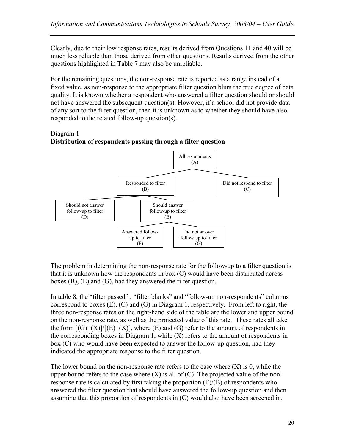Clearly, due to their low response rates, results derived from Questions 11 and 40 will be much less reliable than those derived from other questions. Results derived from the other questions highlighted in Table 7 may also be unreliable.

For the remaining questions, the non-response rate is reported as a range instead of a fixed value, as non-response to the appropriate filter question blurs the true degree of data quality. It is known whether a respondent who answered a filter question should or should not have answered the subsequent question(s). However, if a school did not provide data of any sort to the filter question, then it is unknown as to whether they should have also responded to the related follow-up question(s).

### Diagram 1 **Distribution of respondents passing through a filter question**



The problem in determining the non-response rate for the follow-up to a filter question is that it is unknown how the respondents in box (C) would have been distributed across boxes (B), (E) and (G), had they answered the filter question.

In table 8, the "filter passed" , "filter blanks" and "follow-up non-respondents" columns correspond to boxes  $(E)$ ,  $(C)$  and  $(G)$  in Diagram 1, respectively. From left to right, the three non-response rates on the right-hand side of the table are the lower and upper bound on the non-response rate, as well as the projected value of this rate. These rates all take the form  $[(G)+(X)]/[(E)+(X)]$ , where  $(E)$  and  $(G)$  refer to the amount of respondents in the corresponding boxes in Diagram 1, while  $(X)$  refers to the amount of respondents in box (C) who would have been expected to answer the follow-up question, had they indicated the appropriate response to the filter question.

The lower bound on the non-response rate refers to the case where  $(X)$  is 0, while the upper bound refers to the case where  $(X)$  is all of  $(C)$ . The projected value of the nonresponse rate is calculated by first taking the proportion (E)/(B) of respondents who answered the filter question that should have answered the follow-up question and then assuming that this proportion of respondents in (C) would also have been screened in.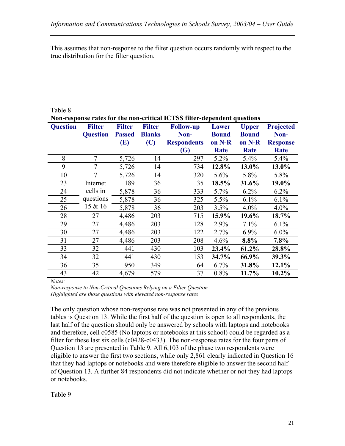This assumes that non-response to the filter question occurs randomly with respect to the true distribution for the filter question.

| Non-response rates for the non-critical ICTSS filter-dependent questions |                                  |                                       |                                       |                                                |                                 |                                        |                                             |  |  |
|--------------------------------------------------------------------------|----------------------------------|---------------------------------------|---------------------------------------|------------------------------------------------|---------------------------------|----------------------------------------|---------------------------------------------|--|--|
| <b>Question</b>                                                          | <b>Filter</b><br><b>Question</b> | <b>Filter</b><br><b>Passed</b><br>(E) | <b>Filter</b><br><b>Blanks</b><br>(C) | <b>Follow-up</b><br>Non-<br><b>Respondents</b> | Lower<br><b>Bound</b><br>on N-R | <b>Upper</b><br><b>Bound</b><br>on N-R | <b>Projected</b><br>Non-<br><b>Response</b> |  |  |
|                                                                          |                                  |                                       |                                       | <b>(G)</b>                                     | Rate                            | Rate                                   | <b>Rate</b>                                 |  |  |
| 8                                                                        | 7                                | 5,726                                 | 14                                    | 297                                            | $5.2\%$                         | 5.4%                                   | $5.4\%$                                     |  |  |
| 9                                                                        | 7                                | 5,726                                 | 14                                    | 734                                            | 12.8%                           | 13.0%                                  | 13.0%                                       |  |  |
| 10                                                                       | 7                                | 5,726                                 | 14                                    | 320                                            | 5.6%                            | 5.8%                                   | 5.8%                                        |  |  |
| 23                                                                       | Internet                         | 189                                   | 36                                    | 35                                             | 18.5%                           | 31.6%                                  | 19.0%                                       |  |  |
| 24                                                                       | cells in                         | 5,878                                 | 36                                    | 333                                            | 5.7%                            | $6.2\%$                                | $6.2\%$                                     |  |  |
| 25                                                                       | questions                        | 5,878                                 | 36                                    | 325                                            | 5.5%                            | 6.1%                                   | 6.1%                                        |  |  |
| 26                                                                       | 15 & 16                          | 5,878                                 | 36                                    | 203                                            | 3.5%                            | $4.0\%$                                | $4.0\%$                                     |  |  |
| 28                                                                       | 27                               | 4,486                                 | 203                                   | 715                                            | 15.9%                           | 19.6%                                  | 18.7%                                       |  |  |
| 29                                                                       | 27                               | 4,486                                 | 203                                   | 128                                            | 2.9%                            | 7.1%                                   | $6.1\%$                                     |  |  |
| 30                                                                       | 27                               | 4,486                                 | 203                                   | 122                                            | 2.7%                            | 6.9%                                   | $6.0\%$                                     |  |  |
| 31                                                                       | 27                               | 4,486                                 | 203                                   | 208                                            | 4.6%                            | 8.8%                                   | 7.8%                                        |  |  |
| 33                                                                       | 32                               | 441                                   | 430                                   | 103                                            | 23.4%                           | 61.2%                                  | 28.8%                                       |  |  |
| 34                                                                       | 32                               | 441                                   | 430                                   | 153                                            | 34.7%                           | 66.9%                                  | 39.3%                                       |  |  |
| 36                                                                       | 35                               | 950                                   | 349                                   | 64                                             | 6.7%                            | 31.8%                                  | 12.1%                                       |  |  |
| 43                                                                       | 42                               | 4,679                                 | 579                                   | 37                                             | 0.8%                            | 11.7%                                  | 10.2%                                       |  |  |

Table 8

*Notes:* 

*Non-response to Non-Critical Questions Relying on a Filter Question Highlighted are those questions with elevated non-response rates* 

The only question whose non-response rate was not presented in any of the previous tables is Question 13. While the first half of the question is open to all respondents, the last half of the question should only be answered by schools with laptops and notebooks and therefore, cell c0585 (No laptops or notebooks at this school) could be regarded as a filter for these last six cells (c0428-c0433). The non-response rates for the four parts of Question 13 are presented in Table 9. All 6,103 of the phase two respondents were eligible to answer the first two sections, while only 2,861 clearly indicated in Question 16 that they had laptops or notebooks and were therefore eligible to answer the second half of Question 13. A further 84 respondents did not indicate whether or not they had laptops or notebooks.

Table 9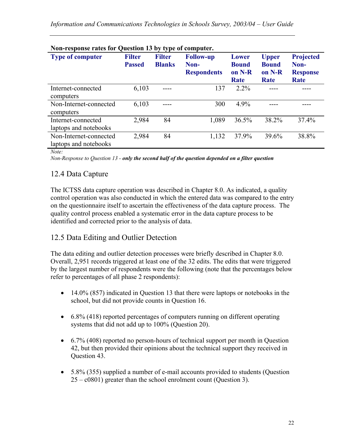| $1$ vii toponst rates for Question 19 by type of computer.<br><b>Type of computer</b> | <b>Filter</b><br><b>Passed</b> | <b>Filter</b><br><b>Blanks</b> | <b>Follow-up</b><br>Non-<br><b>Respondents</b> | Lower<br><b>Bound</b><br>on N-R<br>Rate | <b>Upper</b><br><b>Bound</b><br>on N-R<br>Rate | <b>Projected</b><br>Non-<br><b>Response</b><br>Rate |
|---------------------------------------------------------------------------------------|--------------------------------|--------------------------------|------------------------------------------------|-----------------------------------------|------------------------------------------------|-----------------------------------------------------|
| Internet-connected<br>computers                                                       | 6,103                          | $- - - -$                      | 137                                            | $2.2\%$                                 |                                                |                                                     |
| Non-Internet-connected<br>computers                                                   | 6,103                          |                                | 300                                            | 4.9%                                    |                                                |                                                     |
| Internet-connected<br>laptops and notebooks                                           | 2,984                          | 84                             | 1,089                                          | 36.5%                                   | 38.2%                                          | 37.4%                                               |
| Non-Internet-connected<br>laptops and notebooks                                       | 2,984                          | 84                             | 1,132                                          | 37.9%                                   | 39.6%                                          | 38.8%                                               |

#### **Non-response rates for Question 13 by type of computer.**

*Note:* 

*Non-Response to Question 13 - only the second half of the question depended on a filter question* 

### 12.4 Data Capture

The ICTSS data capture operation was described in Chapter 8.0. As indicated, a quality control operation was also conducted in which the entered data was compared to the entry on the questionnaire itself to ascertain the effectiveness of the data capture process. The quality control process enabled a systematic error in the data capture process to be identified and corrected prior to the analysis of data.

### 12.5 Data Editing and Outlier Detection

The data editing and outlier detection processes were briefly described in Chapter 8.0. Overall, 2,951 records triggered at least one of the 32 edits. The edits that were triggered by the largest number of respondents were the following (note that the percentages below refer to percentages of all phase 2 respondents):

- 14.0% (857) indicated in Question 13 that there were laptops or notebooks in the school, but did not provide counts in Question 16.
- 6.8% (418) reported percentages of computers running on different operating systems that did not add up to 100% (Question 20).
- 6.7% (408) reported no person-hours of technical support per month in Question 42, but then provided their opinions about the technical support they received in Question 43.
- 5.8% (355) supplied a number of e-mail accounts provided to students (Question 25 – c0801) greater than the school enrolment count (Question 3).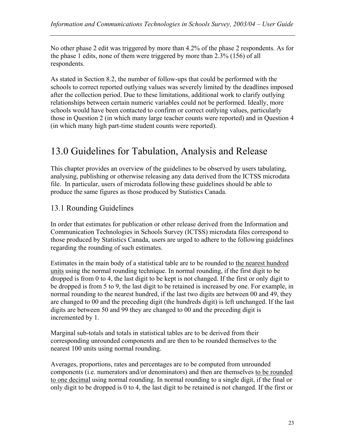No other phase 2 edit was triggered by more than 4.2% of the phase 2 respondents. As for the phase 1 edits, none of them were triggered by more than 2.3% (156) of all respondents.

As stated in Section 8.2, the number of follow-ups that could be performed with the schools to correct reported outlying values was severely limited by the deadlines imposed after the collection period. Due to these limitations, additional work to clarify outlying relationships between certain numeric variables could not be performed. Ideally, more schools would have been contacted to confirm or correct outlying values, particularly those in Question 2 (in which many large teacher counts were reported) and in Question 4 (in which many high part-time student counts were reported).

# 13.0 Guidelines for Tabulation, Analysis and Release

This chapter provides an overview of the guidelines to be observed by users tabulating, analysing, publishing or otherwise releasing any data derived from the ICTSS microdata file. In particular, users of microdata following these guidelines should be able to produce the same figures as those produced by Statistics Canada.

## 13.1 Rounding Guidelines

In order that estimates for publication or other release derived from the Information and Communication Technologies in Schools Survey (ICTSS) microdata files correspond to those produced by Statistics Canada, users are urged to adhere to the following guidelines regarding the rounding of such estimates.

Estimates in the main body of a statistical table are to be rounded to the nearest hundred units using the normal rounding technique. In normal rounding, if the first digit to be dropped is from 0 to 4, the last digit to be kept is not changed. If the first or only digit to be dropped is from 5 to 9, the last digit to be retained is increased by one. For example, in normal rounding to the nearest hundred, if the last two digits are between 00 and 49, they are changed to 00 and the preceding digit (the hundreds digit) is left unchanged. If the last digits are between 50 and 99 they are changed to 00 and the preceding digit is incremented by 1.

Marginal sub-totals and totals in statistical tables are to be derived from their corresponding unrounded components and are then to be rounded themselves to the nearest 100 units using normal rounding.

Averages, proportions, rates and percentages are to be computed from unrounded components (i.e. numerators and/or denominators) and then are themselves to be rounded to one decimal using normal rounding. In normal rounding to a single digit, if the final or only digit to be dropped is 0 to 4, the last digit to be retained is not changed. If the first or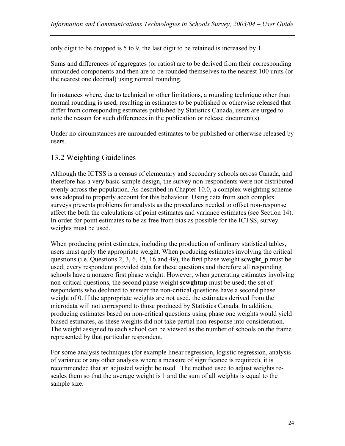only digit to be dropped is 5 to 9, the last digit to be retained is increased by 1.

Sums and differences of aggregates (or ratios) are to be derived from their corresponding unrounded components and then are to be rounded themselves to the nearest 100 units (or the nearest one decimal) using normal rounding.

In instances where, due to technical or other limitations, a rounding technique other than normal rounding is used, resulting in estimates to be published or otherwise released that differ from corresponding estimates published by Statistics Canada, users are urged to note the reason for such differences in the publication or release document(s).

Under no circumstances are unrounded estimates to be published or otherwise released by users.

## 13.2 Weighting Guidelines

Although the ICTSS is a census of elementary and secondary schools across Canada, and therefore has a very basic sample design, the survey non-respondents were not distributed evenly across the population. As described in Chapter 10.0, a complex weighting scheme was adopted to properly account for this behaviour. Using data from such complex surveys presents problems for analysts as the procedures needed to offset non-response affect the both the calculations of point estimates and variance estimates (see Section 14). In order for point estimates to be as free from bias as possible for the ICTSS, survey weights must be used.

When producing point estimates, including the production of ordinary statistical tables, users must apply the appropriate weight. When producing estimates involving the critical questions (i.e. Questions 2, 3, 6, 15, 16 and 49), the first phase weight **scwght\_p** must be used; every respondent provided data for these questions and therefore all responding schools have a nonzero first phase weight. However, when generating estimates involving non-critical questions, the second phase weight **scwghtnp** must be used; the set of respondents who declined to answer the non-critical questions have a second phase weight of 0. If the appropriate weights are not used, the estimates derived from the microdata will not correspond to those produced by Statistics Canada. In addition, producing estimates based on non-critical questions using phase one weights would yield biased estimates, as these weights did not take partial non-response into consideration. The weight assigned to each school can be viewed as the number of schools on the frame represented by that particular respondent.

For some analysis techniques (for example linear regression, logistic regression, analysis of variance or any other analysis where a measure of significance is required), it is recommended that an adjusted weight be used. The method used to adjust weights rescales them so that the average weight is 1 and the sum of all weights is equal to the sample size.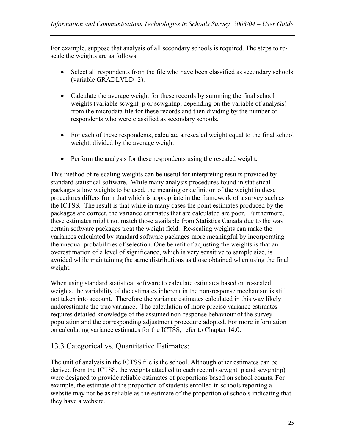For example, suppose that analysis of all secondary schools is required. The steps to rescale the weights are as follows:

- Select all respondents from the file who have been classified as secondary schools (variable GRADLVLD=2).
- Calculate the average weight for these records by summing the final school weights (variable scwght p or scwghtnp, depending on the variable of analysis) from the microdata file for these records and then dividing by the number of respondents who were classified as secondary schools.
- For each of these respondents, calculate a rescaled weight equal to the final school weight, divided by the average weight
- Perform the analysis for these respondents using the rescaled weight.

This method of re-scaling weights can be useful for interpreting results provided by standard statistical software. While many analysis procedures found in statistical packages allow weights to be used, the meaning or definition of the weight in these procedures differs from that which is appropriate in the framework of a survey such as the ICTSS. The result is that while in many cases the point estimates produced by the packages are correct, the variance estimates that are calculated are poor. Furthermore, these estimates might not match those available from Statistics Canada due to the way certain software packages treat the weight field. Re-scaling weights can make the variances calculated by standard software packages more meaningful by incorporating the unequal probabilities of selection. One benefit of adjusting the weights is that an overestimation of a level of significance, which is very sensitive to sample size, is avoided while maintaining the same distributions as those obtained when using the final weight.

When using standard statistical software to calculate estimates based on re-scaled weights, the variability of the estimates inherent in the non-response mechanism is still not taken into account. Therefore the variance estimates calculated in this way likely underestimate the true variance. The calculation of more precise variance estimates requires detailed knowledge of the assumed non-response behaviour of the survey population and the corresponding adjustment procedure adopted. For more information on calculating variance estimates for the ICTSS, refer to Chapter 14.0.

### 13.3 Categorical vs. Quantitative Estimates:

The unit of analysis in the ICTSS file is the school. Although other estimates can be derived from the ICTSS, the weights attached to each record (scwght p and scwghtnp) were designed to provide reliable estimates of proportions based on school counts. For example, the estimate of the proportion of students enrolled in schools reporting a website may not be as reliable as the estimate of the proportion of schools indicating that they have a website.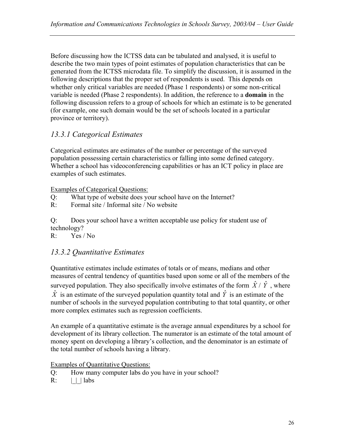Before discussing how the ICTSS data can be tabulated and analysed, it is useful to describe the two main types of point estimates of population characteristics that can be generated from the ICTSS microdata file. To simplify the discussion, it is assumed in the following descriptions that the proper set of respondents is used. This depends on whether only critical variables are needed (Phase 1 respondents) or some non-critical variable is needed (Phase 2 respondents). In addition, the reference to a **domain** in the following discussion refers to a group of schools for which an estimate is to be generated (for example, one such domain would be the set of schools located in a particular province or territory).

## *13.3.1 Categorical Estimates*

Categorical estimates are estimates of the number or percentage of the surveyed population possessing certain characteristics or falling into some defined category. Whether a school has videoconferencing capabilities or has an ICT policy in place are examples of such estimates.

### Examples of Categorical Questions:

- Q: What type of website does your school have on the Internet?
- R: Formal site / Informal site / No website

Q: Does your school have a written acceptable use policy for student use of technology?

R: Yes / No

## *13.3.2 Quantitative Estimates*

Quantitative estimates include estimates of totals or of means, medians and other measures of central tendency of quantities based upon some or all of the members of the surveyed population. They also specifically involve estimates of the form  $\hat{X}$  /  $\hat{Y}$ , where  $\hat{X}$  is an estimate of the surveyed population quantity total and  $\hat{Y}$  is an estimate of the number of schools in the surveyed population contributing to that total quantity, or other more complex estimates such as regression coefficients.

An example of a quantitative estimate is the average annual expenditures by a school for development of its library collection. The numerator is an estimate of the total amount of money spent on developing a library's collection, and the denominator is an estimate of the total number of schools having a library.

Examples of Quantitative Questions:

- Q: How many computer labs do you have in your school?
- $R: \qquad | \cdot |$  labs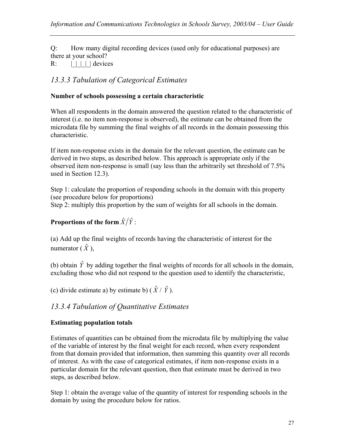Q: How many digital recording devices (used only for educational purposes) are there at your school?

 $R: \qquad | \qquad | \qquad |$  devices

## *13.3.3 Tabulation of Categorical Estimates*

### **Number of schools possessing a certain characteristic**

When all respondents in the domain answered the question related to the characteristic of interest (i.e. no item non-response is observed), the estimate can be obtained from the microdata file by summing the final weights of all records in the domain possessing this characteristic.

If item non-response exists in the domain for the relevant question, the estimate can be derived in two steps, as described below. This approach is appropriate only if the observed item non-response is small (say less than the arbitrarily set threshold of 7.5% used in Section 12.3).

Step 1: calculate the proportion of responding schools in the domain with this property (see procedure below for proportions) Step 2: multiply this proportion by the sum of weights for all schools in the domain.

## **Proportions of the form**  $\hat{X}/\hat{Y}$ **:**

(a) Add up the final weights of records having the characteristic of interest for the numerator  $(\hat{X})$ ,

(b) obtain  $\hat{Y}$  by adding together the final weights of records for all schools in the domain, excluding those who did not respond to the question used to identify the characteristic,

(c) divide estimate a) by estimate b)  $(\hat{X} / \hat{Y})$ .

## *13.3.4 Tabulation of Quantitative Estimates*

### **Estimating population totals**

Estimates of quantities can be obtained from the microdata file by multiplying the value of the variable of interest by the final weight for each record, when every respondent from that domain provided that information, then summing this quantity over all records of interest. As with the case of categorical estimates, if item non-response exists in a particular domain for the relevant question, then that estimate must be derived in two steps, as described below.

Step 1: obtain the average value of the quantity of interest for responding schools in the domain by using the procedure below for ratios.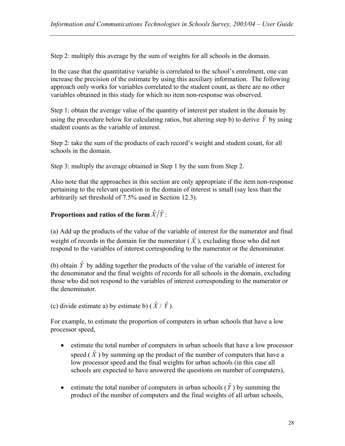Step 2: multiply this average by the sum of weights for all schools in the domain.

In the case that the quantitative variable is correlated to the school's enrolment, one can increase the precision of the estimate by using this auxiliary information. The following approach only works for variables correlated to the student count, as there are no other variables obtained in this study for which no item non-response was observed.

Step 1: obtain the average value of the quantity of interest per student in the domain by using the procedure below for calculating ratios, but altering step b) to derive  $\hat{Y}$  by using student counts as the variable of interest.

Step 2: take the sum of the products of each record's weight and student count, for all schools in the domain.

Step 3: multiply the average obtained in Step 1 by the sum from Step 2.

Also note that the approaches in this section are only appropriate if the item non-response pertaining to the relevant question in the domain of interest is small (say less than the arbitrarily set threshold of 7.5% used in Section 12.3).

### **Proportions and ratios of the form**  $\hat{X}/\hat{Y}$ **:**

(a) Add up the products of the value of the variable of interest for the numerator and final weight of records in the domain for the numerator  $(\hat{X})$ , excluding those who did not respond to the variables of interest corresponding to the numerator or the denominator.

(b) obtain  $\hat{Y}$  by adding together the products of the value of the variable of interest for the denominator and the final weights of records for all schools in the domain, excluding those who did not respond to the variables of interest corresponding to the numerator or the denominator.

(c) divide estimate a) by estimate b)  $(\hat{X} / \hat{Y})$ .

For example, to estimate the proportion of computers in urban schools that have a low processor speed,

- estimate the total number of computers in urban schools that have a low processor speed  $(\hat{X})$  by summing up the product of the number of computers that have a low processor speed and the final weights for urban schools (in this case all schools are expected to have answered the questions on number of computers),
- estimate the total number of computers in urban schools  $(\hat{Y})$  by summing the product of the number of computers and the final weights of all urban schools,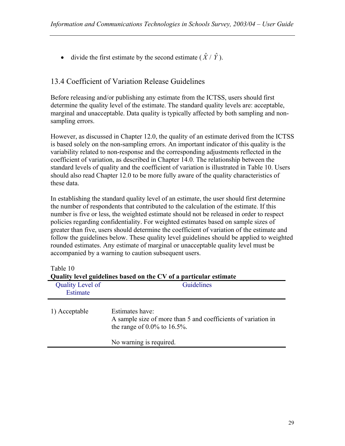• divide the first estimate by the second estimate  $(\hat{X} / \hat{Y})$ .

## 13.4 Coefficient of Variation Release Guidelines

Before releasing and/or publishing any estimate from the ICTSS, users should first determine the quality level of the estimate. The standard quality levels are: acceptable, marginal and unacceptable. Data quality is typically affected by both sampling and nonsampling errors.

However, as discussed in Chapter 12.0, the quality of an estimate derived from the ICTSS is based solely on the non-sampling errors. An important indicator of this quality is the variability related to non-response and the corresponding adjustments reflected in the coefficient of variation, as described in Chapter 14.0. The relationship between the standard levels of quality and the coefficient of variation is illustrated in Table 10. Users should also read Chapter 12.0 to be more fully aware of the quality characteristics of these data.

In establishing the standard quality level of an estimate, the user should first determine the number of respondents that contributed to the calculation of the estimate. If this number is five or less, the weighted estimate should not be released in order to respect policies regarding confidentiality. For weighted estimates based on sample sizes of greater than five, users should determine the coefficient of variation of the estimate and follow the guidelines below. These quality level guidelines should be applied to weighted rounded estimates. Any estimate of marginal or unacceptable quality level must be accompanied by a warning to caution subsequent users.

| Quality level guidelines based on the CV of a particular estimate |                                                                                                                    |  |  |  |  |  |
|-------------------------------------------------------------------|--------------------------------------------------------------------------------------------------------------------|--|--|--|--|--|
| Quality Level of<br>Estimate                                      | Guidelines                                                                                                         |  |  |  |  |  |
| 1) Acceptable                                                     | Estimates have:<br>A sample size of more than 5 and coefficients of variation in<br>the range of $0.0\%$ to 16.5%. |  |  |  |  |  |
|                                                                   | No warning is required.                                                                                            |  |  |  |  |  |

Table 10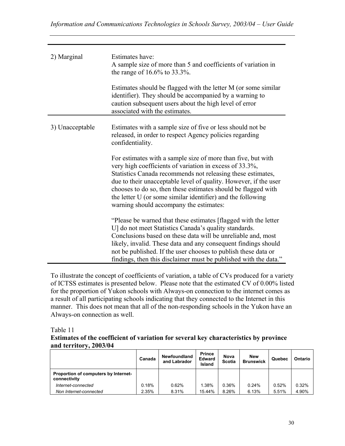| 2) Marginal     | Estimates have:<br>A sample size of more than 5 and coefficients of variation in<br>the range of $16.6\%$ to 33.3%.                                                                                                                                                                                                                                                                                                                   |
|-----------------|---------------------------------------------------------------------------------------------------------------------------------------------------------------------------------------------------------------------------------------------------------------------------------------------------------------------------------------------------------------------------------------------------------------------------------------|
|                 | Estimates should be flagged with the letter M (or some similar<br>identifier). They should be accompanied by a warning to<br>caution subsequent users about the high level of error<br>associated with the estimates.                                                                                                                                                                                                                 |
| 3) Unacceptable | Estimates with a sample size of five or less should not be.<br>released, in order to respect Agency policies regarding<br>confidentiality.                                                                                                                                                                                                                                                                                            |
|                 | For estimates with a sample size of more than five, but with<br>very high coefficients of variation in excess of 33.3%,<br>Statistics Canada recommends not releasing these estimates,<br>due to their unacceptable level of quality. However, if the user<br>chooses to do so, then these estimates should be flagged with<br>the letter U (or some similar identifier) and the following<br>warning should accompany the estimates: |
|                 | "Please be warned that these estimates [flagged with the letter<br>U] do not meet Statistics Canada's quality standards.<br>Conclusions based on these data will be unreliable and, most<br>likely, invalid. These data and any consequent findings should<br>not be published. If the user chooses to publish these data or<br>findings, then this disclaimer must be published with the data."                                      |

To illustrate the concept of coefficients of variation, a table of CVs produced for a variety of ICTSS estimates is presented below. Please note that the estimated CV of 0.00% listed for the proportion of Yukon schools with Always-on connection to the internet comes as a result of all participating schools indicating that they connected to the Internet in this manner. This does not mean that all of the non-responding schools in the Yukon have an Always-on connection as well.

#### Table 11

#### **Estimates of the coefficient of variation for several key characteristics by province and territory, 2003/04**

|                                                      | Canada | <b>Newfoundland</b><br>and Labrador | <b>Prince</b><br><b>Edward</b><br>Island | <b>Nova</b><br><b>Scotia</b> | <b>New</b><br><b>Brunswick</b> | Quebec | Ontario |
|------------------------------------------------------|--------|-------------------------------------|------------------------------------------|------------------------------|--------------------------------|--------|---------|
| Proportion of computers by Internet-<br>connectivity |        |                                     |                                          |                              |                                |        |         |
| Internet-connected                                   | 0.18%  | 0.62%                               | 1.38%                                    | 0.36%                        | 0.24%                          | 0.52%  | 0.32%   |
| Non Internet-connected                               | 2.35%  | 8.31%                               | 15.44%                                   | 8.26%                        | 6.13%                          | 5.51%  | 4.90%   |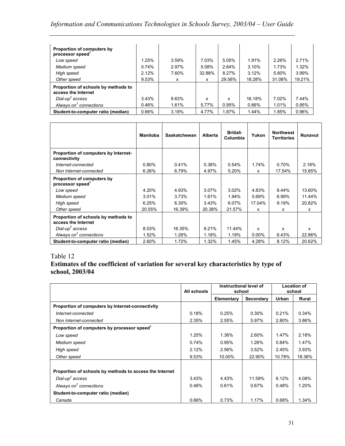## *Information and Communications Technologies in Schools Survey, 2003/04 – User Guide*

| Proportion of computers by<br>processor speed <sup>1</sup> |       |       |        |        |        |        |        |
|------------------------------------------------------------|-------|-------|--------|--------|--------|--------|--------|
| Low speed                                                  | 1.25% | 3.59% | 7.03%  | 5.05%  | 1.91%  | 2.26%  | 2.71%  |
| Medium speed                                               | 0.74% | 2.97% | 5.08%  | 2.64%  | 3.10%  | 1.73%  | 1.32%  |
| High speed                                                 | 2.12% | 7.60% | 32.88% | 8.27%  | 3.12%  | 5.80%  | 3.99%  |
| Other speed                                                | 9.53% | x     | x      | 29.56% | 18.28% | 31.08% | 19.21% |
| Proportion of schools by methods to<br>access the Internet |       |       |        |        |        |        |        |
| $Dial-up2 access$                                          | 3.43% | 9.63% | x      | x      | 16.18% | 7.02%  | 7.44%  |
| Always on <sup>3</sup> connections                         | 0.46% | 1.61% | 5.77%  | 0.95%  | 0.66%  | 1.01%  | 0.95%  |
| Student-to-computer ratio (median)                         | 0.66% | 3.18% | 4.77%  | 1.87%  | 1.44%  | 1.85%  | 0.96%  |

|                                                            | <b>Manitoba</b> | <b>Saskatchewan</b> | Alberta | <b>British</b><br>Columbia | Yukon    | <b>Northwest</b><br><b>Territories</b> | <b>Nunavut</b> |
|------------------------------------------------------------|-----------------|---------------------|---------|----------------------------|----------|----------------------------------------|----------------|
| Proportion of computers by Internet-<br>connectivity       |                 |                     |         |                            |          |                                        |                |
| Internet-connected                                         | 0.80%           | 0.41%               | 0.38%   | 0.54%                      | 1.74%    | 0.70%                                  | 2.18%          |
| Non Internet-connected                                     | 6.26%           | 6.79%               | 4.97%   | 5.20%                      | x        | 17.54%                                 | 15.85%         |
| Proportion of computers by<br>processor speed <sup>1</sup> |                 |                     |         |                            |          |                                        |                |
| Low speed                                                  | 4.20%           | 4.93%               | 3.07%   | 3.02%                      | 4.83%    | 8.44%                                  | 13.60%         |
| Medium speed                                               | 3.01%           | 3.73%               | 1.61%   | 1.94%                      | 5.69%    | 6.99%                                  | 11.44%         |
| High speed                                                 | 6.25%           | 6.30%               | 3.43%   | 6.07%                      | 17.04%   | 9.19%                                  | 20.82%         |
| Other speed                                                | 20.55%          | 16.39%              | 20.38%  | 21.57%                     | x        | x                                      | x              |
| Proportion of schools by methods to<br>access the Internet |                 |                     |         |                            |          |                                        |                |
| Dial-up <sup>2</sup> access                                | 8.03%           | 16.35%              | 8.21%   | 11.44%                     | x        | x                                      | x              |
| Always on $3$ connections                                  | 1.52%           | 1.26%               | 1.18%   | 1.19%                      | $0.00\%$ | 6.43%                                  | 22.86%         |
| Student-to-computer ratio (median)                         | 2.60%           | 1.72%               | 1.32%   | 1.45%                      | 4.28%    | 8.12%                                  | 20.62%         |

### Table 12

#### **Estimates of the coefficient of variation for several key characteristics by type of school, 2003/04**

|                                                         | All schools | Instructional level of<br>school |           | <b>Location of</b><br>school |              |
|---------------------------------------------------------|-------------|----------------------------------|-----------|------------------------------|--------------|
|                                                         |             | Elementary                       | Secondary | Urban                        | <b>Rural</b> |
| Proportion of computers by Internet-connectivity        |             |                                  |           |                              |              |
| Internet-connected                                      | 0.18%       | 0.25%                            | 0.30%     | 0.21%                        | 0.34%        |
| Non Internet-connected                                  | 2.35%       | 2.55%                            | 5.97%     | 2.80%                        | 3.86%        |
| Proportion of computers by processor speed <sup>1</sup> |             |                                  |           |                              |              |
| Low speed                                               | 1.25%       | 1.36%                            | 2.60%     | 1.47%                        | 2.18%        |
| Medium speed                                            | 0.74%       | 0.95%                            | 1.26%     | 0.84%                        | 1.47%        |
| High speed                                              | 2.12%       | 2.56%                            | 3.52%     | 2.45%                        | 3.93%        |
| Other speed                                             | 9.53%       | 10.00%                           | 22.90%    | 10.78%                       | 18.36%       |
|                                                         |             |                                  |           |                              |              |
| Proportion of schools by methods to access the Internet |             |                                  |           |                              |              |
| Dial-up <sup>2</sup> access                             | 3.43%       | 4.43%                            | 11.59%    | 6.12%                        | 4.08%        |
| Always on <sup>3</sup> connections                      | 0.46%       | 0.61%                            | 0.67%     | 0.48%                        | 1.20%        |
| Student-to-computer ratio (median)                      |             |                                  |           |                              |              |
| Canada                                                  | 0.66%       | 0.73%                            | 1.17%     | 0.68%                        | 1.34%        |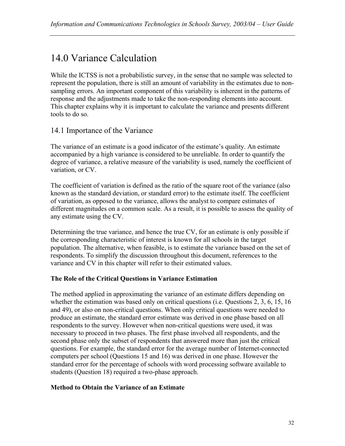# 14.0 Variance Calculation

While the ICTSS is not a probabilistic survey, in the sense that no sample was selected to represent the population, there is still an amount of variability in the estimates due to nonsampling errors. An important component of this variability is inherent in the patterns of response and the adjustments made to take the non-responding elements into account. This chapter explains why it is important to calculate the variance and presents different tools to do so.

### 14.1 Importance of the Variance

The variance of an estimate is a good indicator of the estimate's quality. An estimate accompanied by a high variance is considered to be unreliable. In order to quantify the degree of variance, a relative measure of the variability is used, namely the coefficient of variation, or CV.

The coefficient of variation is defined as the ratio of the square root of the variance (also known as the standard deviation, or standard error) to the estimate itself. The coefficient of variation, as opposed to the variance, allows the analyst to compare estimates of different magnitudes on a common scale. As a result, it is possible to assess the quality of any estimate using the CV.

Determining the true variance, and hence the true CV, for an estimate is only possible if the corresponding characteristic of interest is known for all schools in the target population. The alternative, when feasible, is to estimate the variance based on the set of respondents. To simplify the discussion throughout this document, references to the variance and CV in this chapter will refer to their estimated values.

### **The Role of the Critical Questions in Variance Estimation**

The method applied in approximating the variance of an estimate differs depending on whether the estimation was based only on critical questions (i.e. Questions 2, 3, 6, 15, 16 and 49), or also on non-critical questions. When only critical questions were needed to produce an estimate, the standard error estimate was derived in one phase based on all respondents to the survey. However when non-critical questions were used, it was necessary to proceed in two phases. The first phase involved all respondents, and the second phase only the subset of respondents that answered more than just the critical questions. For example, the standard error for the average number of Internet-connected computers per school (Questions 15 and 16) was derived in one phase. However the standard error for the percentage of schools with word processing software available to students (Question 18) required a two-phase approach.

#### **Method to Obtain the Variance of an Estimate**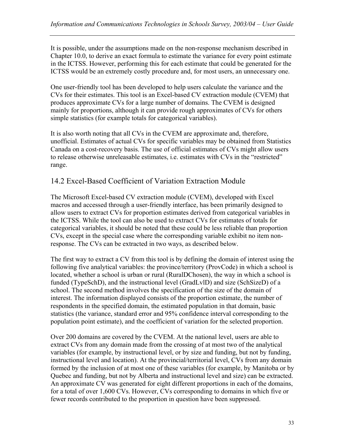It is possible, under the assumptions made on the non-response mechanism described in Chapter 10.0, to derive an exact formula to estimate the variance for every point estimate in the ICTSS. However, performing this for each estimate that could be generated for the ICTSS would be an extremely costly procedure and, for most users, an unnecessary one.

One user-friendly tool has been developed to help users calculate the variance and the CVs for their estimates. This tool is an Excel-based CV extraction module (CVEM) that produces approximate CVs for a large number of domains. The CVEM is designed mainly for proportions, although it can provide rough approximates of CVs for others simple statistics (for example totals for categorical variables).

It is also worth noting that all CVs in the CVEM are approximate and, therefore, unofficial. Estimates of actual CVs for specific variables may be obtained from Statistics Canada on a cost-recovery basis. The use of official estimates of CVs might allow users to release otherwise unreleasable estimates, i.e. estimates with CVs in the "restricted" range.

### 14.2 Excel-Based Coefficient of Variation Extraction Module

The Microsoft Excel-based CV extraction module (CVEM), developed with Excel macros and accessed through a user-friendly interface, has been primarily designed to allow users to extract CVs for proportion estimates derived from categorical variables in the ICTSS. While the tool can also be used to extract CVs for estimates of totals for categorical variables, it should be noted that these could be less reliable than proportion CVs, except in the special case where the corresponding variable exhibit no item nonresponse. The CVs can be extracted in two ways, as described below.

The first way to extract a CV from this tool is by defining the domain of interest using the following five analytical variables: the province/territory (ProvCode) in which a school is located, whether a school is urban or rural (RuralDChosen), the way in which a school is funded (TypeSchD), and the instructional level (GradLvlD) and size (SchSizeD) of a school. The second method involves the specification of the size of the domain of interest. The information displayed consists of the proportion estimate, the number of respondents in the specified domain, the estimated population in that domain, basic statistics (the variance, standard error and 95% confidence interval corresponding to the population point estimate), and the coefficient of variation for the selected proportion.

Over 200 domains are covered by the CVEM. At the national level, users are able to extract CVs from any domain made from the crossing of at most two of the analytical variables (for example, by instructional level, or by size and funding, but not by funding, instructional level and location). At the provincial/territorial level, CVs from any domain formed by the inclusion of at most one of these variables (for example, by Manitoba or by Quebec and funding, but not by Alberta and instructional level and size) can be extracted. An approximate CV was generated for eight different proportions in each of the domains, for a total of over 1,600 CVs. However, CVs corresponding to domains in which five or fewer records contributed to the proportion in question have been suppressed.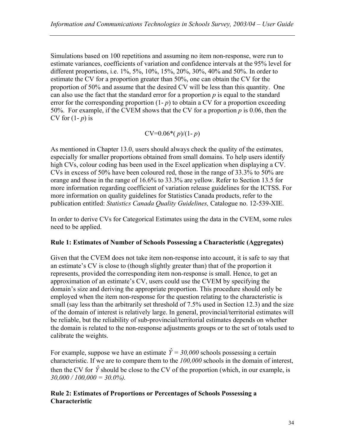Simulations based on 100 repetitions and assuming no item non-response, were run to estimate variances, coefficients of variation and confidence intervals at the 95% level for different proportions, i.e. 1%, 5%, 10%, 15%, 20%, 30%, 40% and 50%. In order to estimate the CV for a proportion greater than 50%, one can obtain the CV for the proportion of 50% and assume that the desired CV will be less than this quantity. One can also use the fact that the standard error for a proportion *p* is equal to the standard error for the corresponding proportion  $(1-p)$  to obtain a CV for a proportion exceeding 50%. For example, if the CVEM shows that the CV for a proportion *p* is 0.06, then the CV for (1- *p*) is

CV=0.06\*( *p*)/(1- *p*)

As mentioned in Chapter 13.0, users should always check the quality of the estimates, especially for smaller proportions obtained from small domains. To help users identify high CVs, colour coding has been used in the Excel application when displaying a CV. CVs in excess of 50% have been coloured red, those in the range of 33.3% to 50% are orange and those in the range of 16.6% to 33.3% are yellow. Refer to Section 13.5 for more information regarding coefficient of variation release guidelines for the ICTSS. For more information on quality guidelines for Statistics Canada products, refer to the publication entitled: *Statistics Canada Quality Guidelines,* Catalogue no. 12-539-XIE.

In order to derive CVs for Categorical Estimates using the data in the CVEM, some rules need to be applied.

#### **Rule 1: Estimates of Number of Schools Possessing a Characteristic (Aggregates)**

Given that the CVEM does not take item non-response into account, it is safe to say that an estimate's CV is close to (though slightly greater than) that of the proportion it represents, provided the corresponding item non-response is small. Hence, to get an approximation of an estimate's CV, users could use the CVEM by specifying the domain's size and deriving the appropriate proportion. This procedure should only be employed when the item non-response for the question relating to the characteristic is small (say less than the arbitrarily set threshold of 7.5% used in Section 12.3) and the size of the domain of interest is relatively large. In general, provincial/territorial estimates will be reliable, but the reliability of sub-provincial/territorial estimates depends on whether the domain is related to the non-response adjustments groups or to the set of totals used to calibrate the weights.

For example, suppose we have an estimate  $\hat{Y} = 30,000$  schools possessing a certain characteristic. If we are to compare them to the *100,000* schools in the domain of interest, then the CV for  $\hat{Y}$  should be close to the CV of the proportion (which, in our example, is *30,000 / 100,000 = 30.0%).* 

#### **Rule 2: Estimates of Proportions or Percentages of Schools Possessing a Characteristic**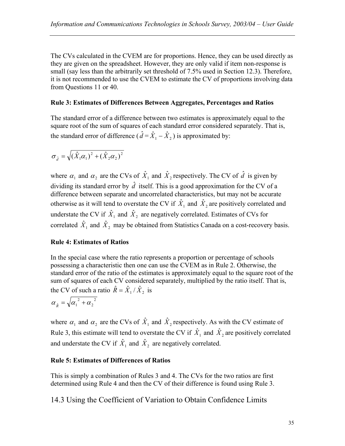The CVs calculated in the CVEM are for proportions. Hence, they can be used directly as they are given on the spreadsheet. However, they are only valid if item non-response is small (say less than the arbitrarily set threshold of 7.5% used in Section 12.3). Therefore, it is not recommended to use the CVEM to estimate the CV of proportions involving data from Questions 11 or 40.

#### **Rule 3: Estimates of Differences Between Aggregates, Percentages and Ratios**

The standard error of a difference between two estimates is approximately equal to the square root of the sum of squares of each standard error considered separately. That is, the standard error of difference ( $\hat{d} = \hat{X}_1 - \hat{X}_2$ ) is approximated by:

$$
\sigma_{\hat{d}} = \sqrt{(\hat{X}_1 \alpha_1)^2 + (\hat{X}_2 \alpha_2)^2}
$$

where  $\alpha_1$  and  $\alpha_2$  are the CVs of  $\hat{X}_1$  and  $\hat{X}_2$  respectively. The CV of  $\hat{d}$  is given by dividing its standard error by  $\hat{d}$  itself. This is a good approximation for the CV of a difference between separate and uncorrelated characteristics, but may not be accurate otherwise as it will tend to overstate the CV if  $\hat{X}_1$  and  $\hat{X}_2$  are positively correlated and understate the CV if  $\hat{X}_1$  and  $\hat{X}_2$  are negatively correlated. Estimates of CVs for correlated  $\hat{X}_1$  and  $\hat{X}_2$  may be obtained from Statistics Canada on a cost-recovery basis.

### **Rule 4: Estimates of Ratios**

In the special case where the ratio represents a proportion or percentage of schools possessing a characteristic then one can use the CVEM as in Rule 2. Otherwise, the standard error of the ratio of the estimates is approximately equal to the square root of the sum of squares of each CV considered separately, multiplied by the ratio itself. That is, the CV of such a ratio  $\hat{R} = \hat{X}_1 / \hat{X}_2$  is

$$
\alpha_{\hat{\kappa}} = \sqrt{{\alpha_1}^2 + {\alpha_2}^2}
$$

where  $\alpha_1$  and  $\alpha_2$  are the CVs of  $\hat{X}_1$  and  $\hat{X}_2$  respectively. As with the CV estimate of Rule 3, this estimate will tend to overstate the CV if  $\hat{X}_1$  and  $\hat{X}_2$  are positively correlated and understate the CV if  $\hat{X}_1$  and  $\hat{X}_2$  are negatively correlated.

### **Rule 5: Estimates of Differences of Ratios**

This is simply a combination of Rules 3 and 4. The CVs for the two ratios are first determined using Rule 4 and then the CV of their difference is found using Rule 3.

14.3 Using the Coefficient of Variation to Obtain Confidence Limits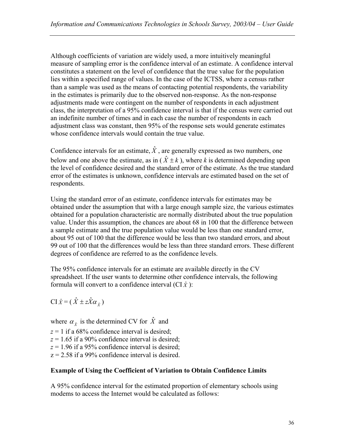Although coefficients of variation are widely used, a more intuitively meaningful measure of sampling error is the confidence interval of an estimate. A confidence interval constitutes a statement on the level of confidence that the true value for the population lies within a specified range of values. In the case of the ICTSS, where a census rather than a sample was used as the means of contacting potential respondents, the variability in the estimates is primarily due to the observed non-response. As the non-response adjustments made were contingent on the number of respondents in each adjustment class, the interpretation of a 95% confidence interval is that if the census were carried out an indefinite number of times and in each case the number of respondents in each adjustment class was constant, then 95% of the response sets would generate estimates whose confidence intervals would contain the true value.

Confidence intervals for an estimate,  $\hat{X}$ , are generally expressed as two numbers, one below and one above the estimate, as in  $(\hat{X} \pm k)$ , where *k* is determined depending upon the level of confidence desired and the standard error of the estimate. As the true standard error of the estimates is unknown, confidence intervals are estimated based on the set of respondents.

Using the standard error of an estimate, confidence intervals for estimates may be obtained under the assumption that with a large enough sample size, the various estimates obtained for a population characteristic are normally distributed about the true population value. Under this assumption, the chances are about 68 in 100 that the difference between a sample estimate and the true population value would be less than one standard error, about 95 out of 100 that the difference would be less than two standard errors, and about 99 out of 100 that the differences would be less than three standard errors. These different degrees of confidence are referred to as the confidence levels.

The 95% confidence intervals for an estimate are available directly in the CV spreadsheet. If the user wants to determine other confidence intervals, the following formula will convert to a confidence interval  $(CI \hat{X})$ :

 $CI \hat{X} = (\hat{X} \pm z \hat{X} \alpha_{\hat{y}})$ 

where  $\alpha_{\hat{x}}$  is the determined CV for  $\hat{X}$  and  $z = 1$  if a 68% confidence interval is desired;

 $z = 1.65$  if a 90% confidence interval is desired;

 $z = 1.96$  if a 95% confidence interval is desired;

 $z = 2.58$  if a 99% confidence interval is desired.

### **Example of Using the Coefficient of Variation to Obtain Confidence Limits**

A 95% confidence interval for the estimated proportion of elementary schools using modems to access the Internet would be calculated as follows: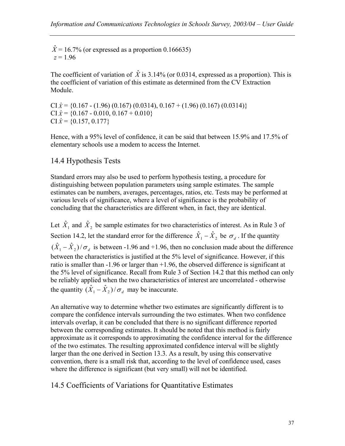$\hat{X}$  = 16.7% (or expressed as a proportion 0.166635)  $z = 1.96$ 

The coefficient of variation of  $\hat{X}$  is 3.14% (or 0.0314, expressed as a proportion). This is the coefficient of variation of this estimate as determined from the CV Extraction Module.

 $CI \hat{x} = \{0.167 - (1.96) (0.167) (0.0314), 0.167 + (1.96) (0.167) (0.0314)\}\$  $CI \hat{X} = \{0.167 - 0.010, 0.167 + 0.010\}$  $CI \hat{x} = \{0.157, 0.177\}$ 

Hence, with a 95% level of confidence, it can be said that between 15.9% and 17.5% of elementary schools use a modem to access the Internet.

### 14.4 Hypothesis Tests

Standard errors may also be used to perform hypothesis testing, a procedure for distinguishing between population parameters using sample estimates. The sample estimates can be numbers, averages, percentages, ratios, etc. Tests may be performed at various levels of significance, where a level of significance is the probability of concluding that the characteristics are different when, in fact, they are identical.

Let  $\hat{X}_1$  and  $\hat{X}_2$  be sample estimates for two characteristics of interest. As in Rule 3 of Section 14.2, let the standard error for the difference  $\hat{X}_1 - \hat{X}_2$  be  $\sigma_d$ . If the quantity  $(\hat{X}_1 - \hat{X}_2)/\sigma_d$  is between -1.96 and +1.96, then no conclusion made about the difference between the characteristics is justified at the 5% level of significance. However, if this ratio is smaller than -1.96 or larger than +1.96, the observed difference is significant at the 5% level of significance. Recall from Rule 3 of Section 14.2 that this method can only be reliably applied when the two characteristics of interest are uncorrelated - otherwise the quantity  $(\hat{X}_1 - \hat{X}_2)/\sigma_d$  may be inaccurate.

An alternative way to determine whether two estimates are significantly different is to compare the confidence intervals surrounding the two estimates. When two confidence intervals overlap, it can be concluded that there is no significant difference reported between the corresponding estimates. It should be noted that this method is fairly approximate as it corresponds to approximating the confidence interval for the difference of the two estimates. The resulting approximated confidence interval will be slightly larger than the one derived in Section 13.3. As a result, by using this conservative convention, there is a small risk that, according to the level of confidence used, cases where the difference is significant (but very small) will not be identified.

### 14.5 Coefficients of Variations for Quantitative Estimates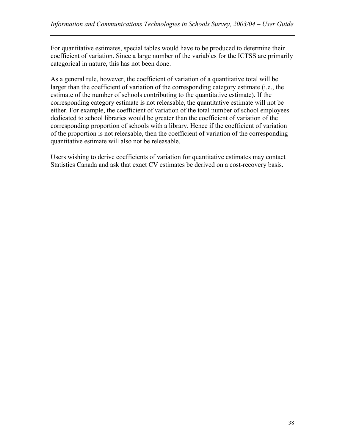For quantitative estimates, special tables would have to be produced to determine their coefficient of variation. Since a large number of the variables for the ICTSS are primarily categorical in nature, this has not been done.

As a general rule, however, the coefficient of variation of a quantitative total will be larger than the coefficient of variation of the corresponding category estimate (i.e., the estimate of the number of schools contributing to the quantitative estimate). If the corresponding category estimate is not releasable, the quantitative estimate will not be either. For example, the coefficient of variation of the total number of school employees dedicated to school libraries would be greater than the coefficient of variation of the corresponding proportion of schools with a library. Hence if the coefficient of variation of the proportion is not releasable, then the coefficient of variation of the corresponding quantitative estimate will also not be releasable.

Users wishing to derive coefficients of variation for quantitative estimates may contact Statistics Canada and ask that exact CV estimates be derived on a cost-recovery basis.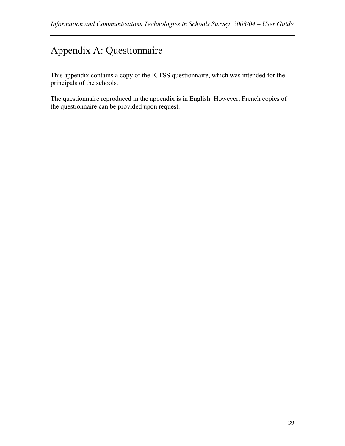# Appendix A: Questionnaire

This appendix contains a copy of the ICTSS questionnaire, which was intended for the principals of the schools.

The questionnaire reproduced in the appendix is in English. However, French copies of the questionnaire can be provided upon request.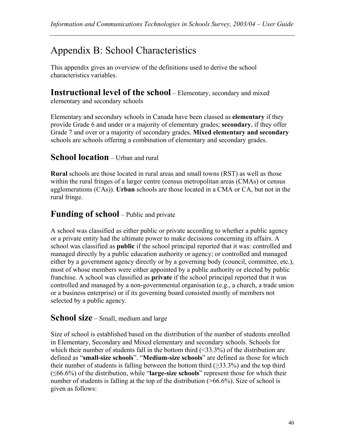# Appendix B: School Characteristics

This appendix gives an overview of the definitions used to derive the school characteristics variables.

**Instructional level of the school** – Elementary, secondary and mixed

elementary and secondary schools

Elementary and secondary schools in Canada have been classed as **elementary** if they provide Grade 6 and under or a majority of elementary grades; **secondary**, if they offer Grade 7 and over or a majority of secondary grades. **Mixed elementary and secondary** schools are schools offering a combination of elementary and secondary grades.

## **School location** – Urban and rural

**Rural** schools are those located in rural areas and small towns (RST) as well as those within the rural fringes of a larger centre (census metropolitan areas (CMAs) or census agglomerations (CAs)). **Urban** schools are those located in a CMA or CA, but not in the rural fringe.

## **Funding of school** – Public and private

A school was classified as either public or private according to whether a public agency or a private entity had the ultimate power to make decisions concerning its affairs. A school was classified as **public** if the school principal reported that it was: controlled and managed directly by a public education authority or agency; or controlled and managed either by a government agency directly or by a governing body (council, committee, etc.), most of whose members were either appointed by a public authority or elected by public franchise. A school was classified as **private** if the school principal reported that it was controlled and managed by a non-governmental organisation (e.g., a church, a trade union or a business enterprise) or if its governing board consisted mostly of members not selected by a public agency.

### **School size** – Small, medium and large

Size of school is established based on the distribution of the number of students enrolled in Elementary, Secondary and Mixed elementary and secondary schools. Schools for which their number of students fall in the bottom third  $(\leq 33.3\%)$  of the distribution are defined as "**small-size schools**". "**Medium-size schools**" are defined as those for which their number of students is falling between the bottom third  $(\geq 33.3\%)$  and the top third (≤66.6%) of the distribution, while "**large-size schools**" represent those for which their number of students is falling at the top of the distribution (>66.6%). Size of school is given as follows: